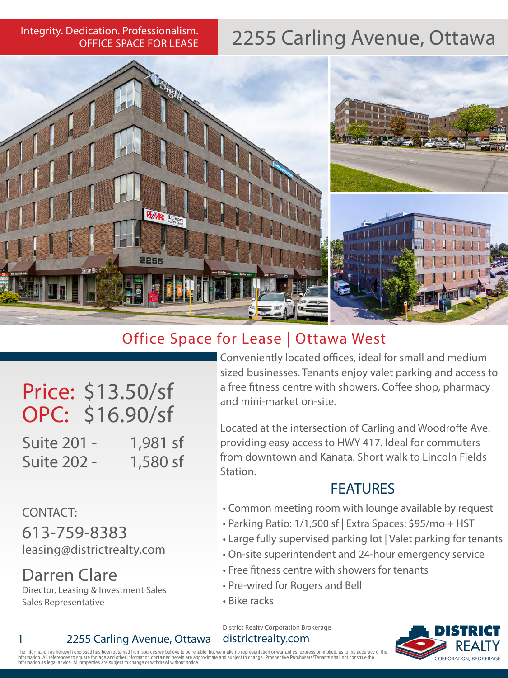OFFICE SPACE FOR LEASE

## Integrity. Dedication. Professionalism. 2255 Carling Avenue, Ottawa



### Office Space for Lease | Ottawa West

Price: \$13.50/sf OPC: \$16.90/sf

Suite 201 - 1,981 sf Suite 202 - 1,580 sf

CONTACT: 613-759-8383 leasing@districtrealty.com

Darren Clare Director, Leasing & Investment Sales Sales Representative

1 2255 Carling Avenue, Ottawa

Conveniently located offices, ideal for small and medium sized businesses. Tenants enjoy valet parking and access to a free fitness centre with showers. Coffee shop, pharmacy and mini-market on-site.

Located at the intersection of Carling and Woodroffe Ave. providing easy access to HWY 417. Ideal for commuters from downtown and Kanata. Short walk to Lincoln Fields Station.

#### FEATURES

- Common meeting room with lounge available by request
- Parking Ratio: 1/1,500 sf | Extra Spaces: \$95/mo + HST
- Large fully supervised parking lot | Valet parking for tenants
- On-site superintendent and 24-hour emergency service
- Free fitness centre with showers for tenants
- Pre-wired for Rogers and Bell
- Bike racks

District Realty Corporation Brokerage districtrealty.com



The information as herewith enclosed has been obtained from sources we believe to be reliable, but we make no representation or warranties, express or implied, as to the accuracy of the<br>information. All references to squar The information as net ewith entitivised has been but allegal and or move to change therein are<br>information as legal advice. All properties are subject to change or withdrawl without noti<br>information as legal advice. All p